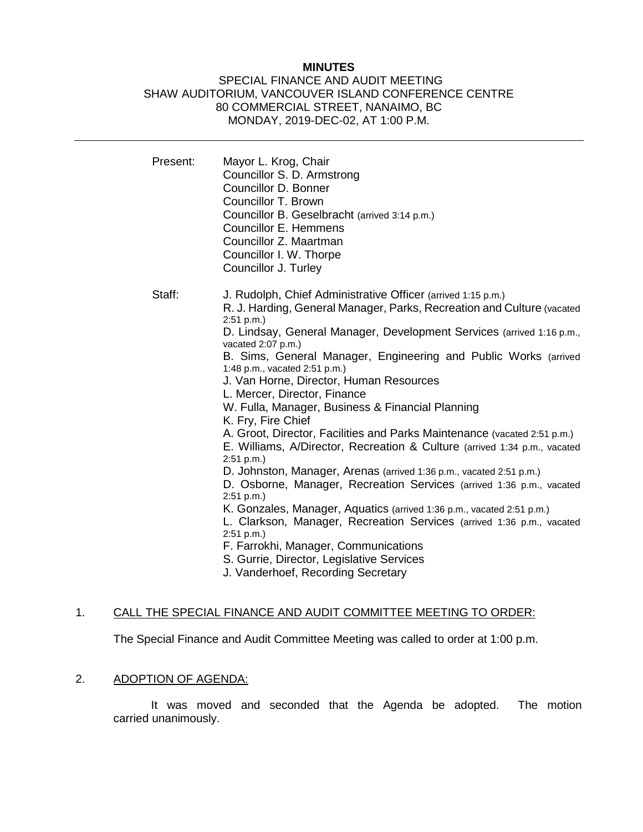#### **MINUTES**

## SPECIAL FINANCE AND AUDIT MEETING SHAW AUDITORIUM, VANCOUVER ISLAND CONFERENCE CENTRE 80 COMMERCIAL STREET, NANAIMO, BC MONDAY, 2019-DEC-02, AT 1:00 P.M.

| Present: | Mayor L. Krog, Chair<br>Councillor S. D. Armstrong<br>Councillor D. Bonner<br>Councillor T. Brown<br>Councillor B. Geselbracht (arrived 3:14 p.m.)<br><b>Councillor E. Hemmens</b><br>Councillor Z. Maartman<br>Councillor I. W. Thorpe<br>Councillor J. Turley                                                                                                                                                                                                                                                                                                                                                                                                                                                                                                                                                                                                                                                                                                                                                                                                                                                                         |
|----------|-----------------------------------------------------------------------------------------------------------------------------------------------------------------------------------------------------------------------------------------------------------------------------------------------------------------------------------------------------------------------------------------------------------------------------------------------------------------------------------------------------------------------------------------------------------------------------------------------------------------------------------------------------------------------------------------------------------------------------------------------------------------------------------------------------------------------------------------------------------------------------------------------------------------------------------------------------------------------------------------------------------------------------------------------------------------------------------------------------------------------------------------|
| Staff:   | J. Rudolph, Chief Administrative Officer (arrived 1:15 p.m.)<br>R. J. Harding, General Manager, Parks, Recreation and Culture (vacated<br>2:51 p.m.<br>D. Lindsay, General Manager, Development Services (arrived 1:16 p.m.,<br>vacated 2:07 p.m.)<br>B. Sims, General Manager, Engineering and Public Works (arrived<br>1:48 p.m., vacated 2:51 p.m.)<br>J. Van Horne, Director, Human Resources<br>L. Mercer, Director, Finance<br>W. Fulla, Manager, Business & Financial Planning<br>K. Fry, Fire Chief<br>A. Groot, Director, Facilities and Parks Maintenance (vacated 2:51 p.m.)<br>E. Williams, A/Director, Recreation & Culture (arrived 1:34 p.m., vacated<br>2:51 p.m.<br>D. Johnston, Manager, Arenas (arrived 1:36 p.m., vacated 2:51 p.m.)<br>D. Osborne, Manager, Recreation Services (arrived 1:36 p.m., vacated<br>2:51 p.m.<br>K. Gonzales, Manager, Aquatics (arrived 1:36 p.m., vacated 2:51 p.m.)<br>L. Clarkson, Manager, Recreation Services (arrived 1:36 p.m., vacated<br>2:51 p.m.<br>F. Farrokhi, Manager, Communications<br>S. Gurrie, Director, Legislative Services<br>J. Vanderhoef, Recording Secretary |

## 1. CALL THE SPECIAL FINANCE AND AUDIT COMMITTEE MEETING TO ORDER:

The Special Finance and Audit Committee Meeting was called to order at 1:00 p.m.

# 2. ADOPTION OF AGENDA:

It was moved and seconded that the Agenda be adopted. The motion carried unanimously.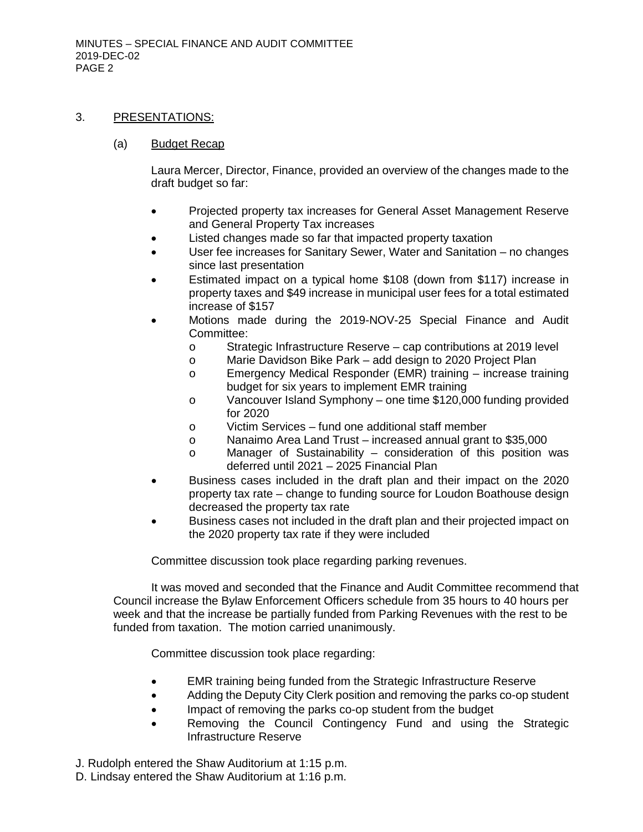#### 3. PRESENTATIONS:

### (a) Budget Recap

Laura Mercer, Director, Finance, provided an overview of the changes made to the draft budget so far:

- Projected property tax increases for General Asset Management Reserve and General Property Tax increases
- Listed changes made so far that impacted property taxation
- User fee increases for Sanitary Sewer, Water and Sanitation no changes since last presentation
- Estimated impact on a typical home \$108 (down from \$117) increase in property taxes and \$49 increase in municipal user fees for a total estimated increase of \$157
- Motions made during the 2019-NOV-25 Special Finance and Audit Committee:
	- o Strategic Infrastructure Reserve cap contributions at 2019 level
	- o Marie Davidson Bike Park add design to 2020 Project Plan
	- o Emergency Medical Responder (EMR) training increase training budget for six years to implement EMR training
	- o Vancouver Island Symphony one time \$120,000 funding provided for 2020
	- o Victim Services fund one additional staff member
	- o Nanaimo Area Land Trust increased annual grant to \$35,000
	- o Manager of Sustainability consideration of this position was deferred until 2021 – 2025 Financial Plan
- Business cases included in the draft plan and their impact on the 2020 property tax rate – change to funding source for Loudon Boathouse design decreased the property tax rate
- Business cases not included in the draft plan and their projected impact on the 2020 property tax rate if they were included

Committee discussion took place regarding parking revenues.

It was moved and seconded that the Finance and Audit Committee recommend that Council increase the Bylaw Enforcement Officers schedule from 35 hours to 40 hours per week and that the increase be partially funded from Parking Revenues with the rest to be funded from taxation. The motion carried unanimously.

Committee discussion took place regarding:

- EMR training being funded from the Strategic Infrastructure Reserve
- Adding the Deputy City Clerk position and removing the parks co-op student
- Impact of removing the parks co-op student from the budget
- Removing the Council Contingency Fund and using the Strategic Infrastructure Reserve

J. Rudolph entered the Shaw Auditorium at 1:15 p.m.

D. Lindsay entered the Shaw Auditorium at 1:16 p.m.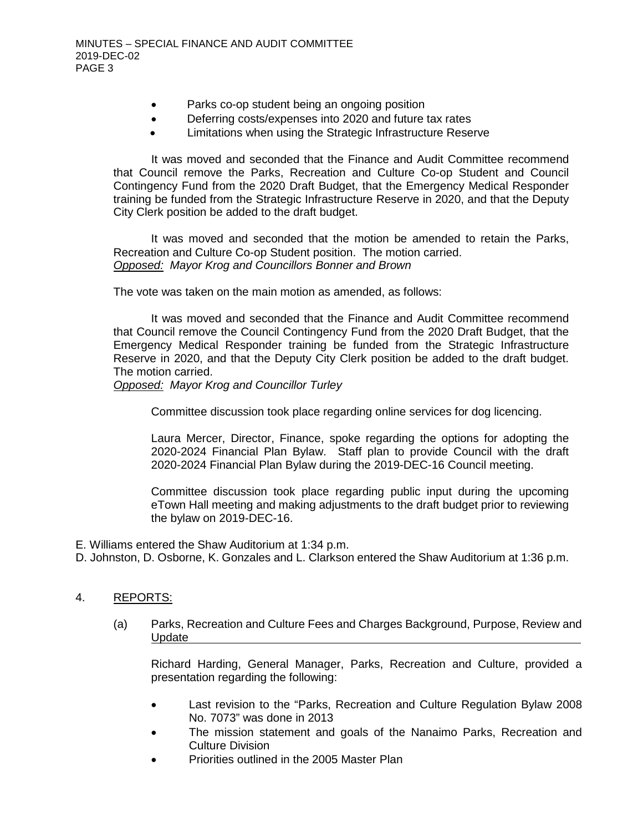- Parks co-op student being an ongoing position
- Deferring costs/expenses into 2020 and future tax rates
- Limitations when using the Strategic Infrastructure Reserve

It was moved and seconded that the Finance and Audit Committee recommend that Council remove the Parks, Recreation and Culture Co-op Student and Council Contingency Fund from the 2020 Draft Budget, that the Emergency Medical Responder training be funded from the Strategic Infrastructure Reserve in 2020, and that the Deputy City Clerk position be added to the draft budget.

It was moved and seconded that the motion be amended to retain the Parks, Recreation and Culture Co-op Student position. The motion carried. *Opposed: Mayor Krog and Councillors Bonner and Brown*

The vote was taken on the main motion as amended, as follows:

It was moved and seconded that the Finance and Audit Committee recommend that Council remove the Council Contingency Fund from the 2020 Draft Budget, that the Emergency Medical Responder training be funded from the Strategic Infrastructure Reserve in 2020, and that the Deputy City Clerk position be added to the draft budget. The motion carried.

*Opposed: Mayor Krog and Councillor Turley*

Committee discussion took place regarding online services for dog licencing.

Laura Mercer, Director, Finance, spoke regarding the options for adopting the 2020-2024 Financial Plan Bylaw. Staff plan to provide Council with the draft 2020-2024 Financial Plan Bylaw during the 2019-DEC-16 Council meeting.

Committee discussion took place regarding public input during the upcoming eTown Hall meeting and making adjustments to the draft budget prior to reviewing the bylaw on 2019-DEC-16.

- E. Williams entered the Shaw Auditorium at 1:34 p.m.
- D. Johnston, D. Osborne, K. Gonzales and L. Clarkson entered the Shaw Auditorium at 1:36 p.m.

#### 4. REPORTS:

(a) Parks, Recreation and Culture Fees and Charges Background, Purpose, Review and Update

Richard Harding, General Manager, Parks, Recreation and Culture, provided a presentation regarding the following:

- Last revision to the "Parks, Recreation and Culture Regulation Bylaw 2008 No. 7073" was done in 2013
- The mission statement and goals of the Nanaimo Parks, Recreation and Culture Division
- Priorities outlined in the 2005 Master Plan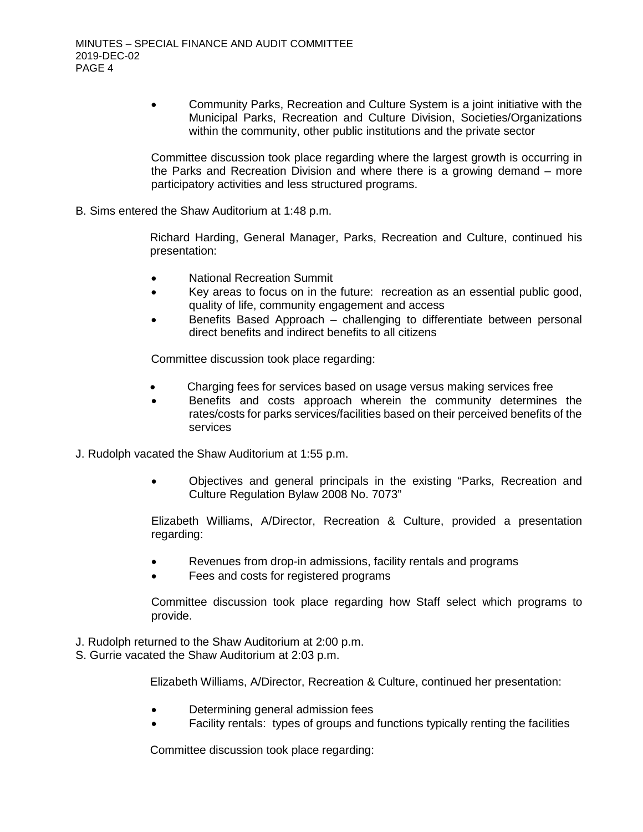• Community Parks, Recreation and Culture System is a joint initiative with the Municipal Parks, Recreation and Culture Division, Societies/Organizations within the community, other public institutions and the private sector

Committee discussion took place regarding where the largest growth is occurring in the Parks and Recreation Division and where there is a growing demand – more participatory activities and less structured programs.

B. Sims entered the Shaw Auditorium at 1:48 p.m.

Richard Harding, General Manager, Parks, Recreation and Culture, continued his presentation:

- National Recreation Summit
- Key areas to focus on in the future: recreation as an essential public good, quality of life, community engagement and access
- Benefits Based Approach challenging to differentiate between personal direct benefits and indirect benefits to all citizens

Committee discussion took place regarding:

- Charging fees for services based on usage versus making services free
- Benefits and costs approach wherein the community determines the rates/costs for parks services/facilities based on their perceived benefits of the services
- J. Rudolph vacated the Shaw Auditorium at 1:55 p.m.
	- Objectives and general principals in the existing "Parks, Recreation and Culture Regulation Bylaw 2008 No. 7073"

Elizabeth Williams, A/Director, Recreation & Culture, provided a presentation regarding:

- Revenues from drop-in admissions, facility rentals and programs
- Fees and costs for registered programs

Committee discussion took place regarding how Staff select which programs to provide.

- J. Rudolph returned to the Shaw Auditorium at 2:00 p.m.
- S. Gurrie vacated the Shaw Auditorium at 2:03 p.m.

Elizabeth Williams, A/Director, Recreation & Culture, continued her presentation:

- Determining general admission fees
- Facility rentals: types of groups and functions typically renting the facilities

Committee discussion took place regarding: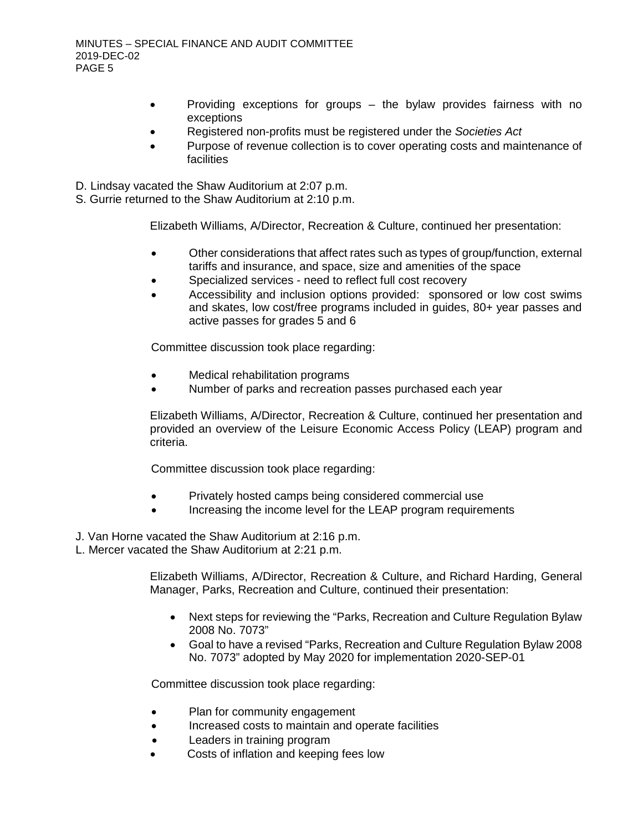- Providing exceptions for groups the bylaw provides fairness with no exceptions
- Registered non-profits must be registered under the *Societies Act*
- Purpose of revenue collection is to cover operating costs and maintenance of **facilities**
- D. Lindsay vacated the Shaw Auditorium at 2:07 p.m.
- S. Gurrie returned to the Shaw Auditorium at 2:10 p.m.

Elizabeth Williams, A/Director, Recreation & Culture, continued her presentation:

- Other considerations that affect rates such as types of group/function, external tariffs and insurance, and space, size and amenities of the space
- Specialized services need to reflect full cost recovery
- Accessibility and inclusion options provided: sponsored or low cost swims and skates, low cost/free programs included in guides, 80+ year passes and active passes for grades 5 and 6

Committee discussion took place regarding:

- Medical rehabilitation programs
- Number of parks and recreation passes purchased each year

Elizabeth Williams, A/Director, Recreation & Culture, continued her presentation and provided an overview of the Leisure Economic Access Policy (LEAP) program and criteria.

Committee discussion took place regarding:

- Privately hosted camps being considered commercial use
- Increasing the income level for the LEAP program requirements
- J. Van Horne vacated the Shaw Auditorium at 2:16 p.m.
- L. Mercer vacated the Shaw Auditorium at 2:21 p.m.

Elizabeth Williams, A/Director, Recreation & Culture, and Richard Harding, General Manager, Parks, Recreation and Culture, continued their presentation:

- Next steps for reviewing the "Parks, Recreation and Culture Regulation Bylaw 2008 No. 7073"
- Goal to have a revised "Parks, Recreation and Culture Regulation Bylaw 2008 No. 7073" adopted by May 2020 for implementation 2020-SEP-01

Committee discussion took place regarding:

- Plan for community engagement
- Increased costs to maintain and operate facilities
- Leaders in training program
- Costs of inflation and keeping fees low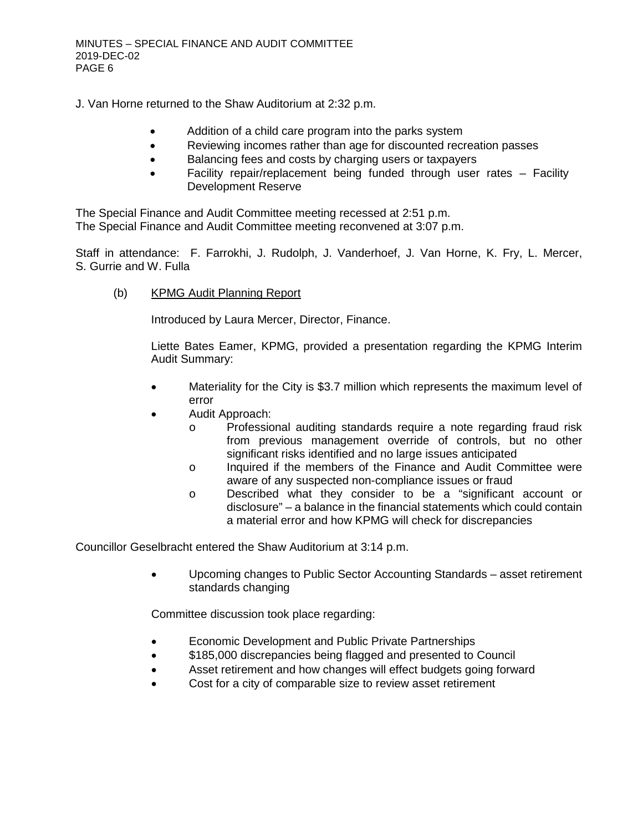J. Van Horne returned to the Shaw Auditorium at 2:32 p.m.

- Addition of a child care program into the parks system
- Reviewing incomes rather than age for discounted recreation passes
- Balancing fees and costs by charging users or taxpayers
- Facility repair/replacement being funded through user rates Facility Development Reserve

The Special Finance and Audit Committee meeting recessed at 2:51 p.m. The Special Finance and Audit Committee meeting reconvened at 3:07 p.m.

Staff in attendance: F. Farrokhi, J. Rudolph, J. Vanderhoef, J. Van Horne, K. Fry, L. Mercer, S. Gurrie and W. Fulla

(b) KPMG Audit Planning Report

Introduced by Laura Mercer, Director, Finance.

Liette Bates Eamer, KPMG, provided a presentation regarding the KPMG Interim Audit Summary:

- Materiality for the City is \$3.7 million which represents the maximum level of error
- Audit Approach:
	- o Professional auditing standards require a note regarding fraud risk from previous management override of controls, but no other significant risks identified and no large issues anticipated
	- o Inquired if the members of the Finance and Audit Committee were aware of any suspected non-compliance issues or fraud
	- o Described what they consider to be a "significant account or disclosure" – a balance in the financial statements which could contain a material error and how KPMG will check for discrepancies

Councillor Geselbracht entered the Shaw Auditorium at 3:14 p.m.

• Upcoming changes to Public Sector Accounting Standards – asset retirement standards changing

Committee discussion took place regarding:

- Economic Development and Public Private Partnerships
- \$185,000 discrepancies being flagged and presented to Council
- Asset retirement and how changes will effect budgets going forward
- Cost for a city of comparable size to review asset retirement